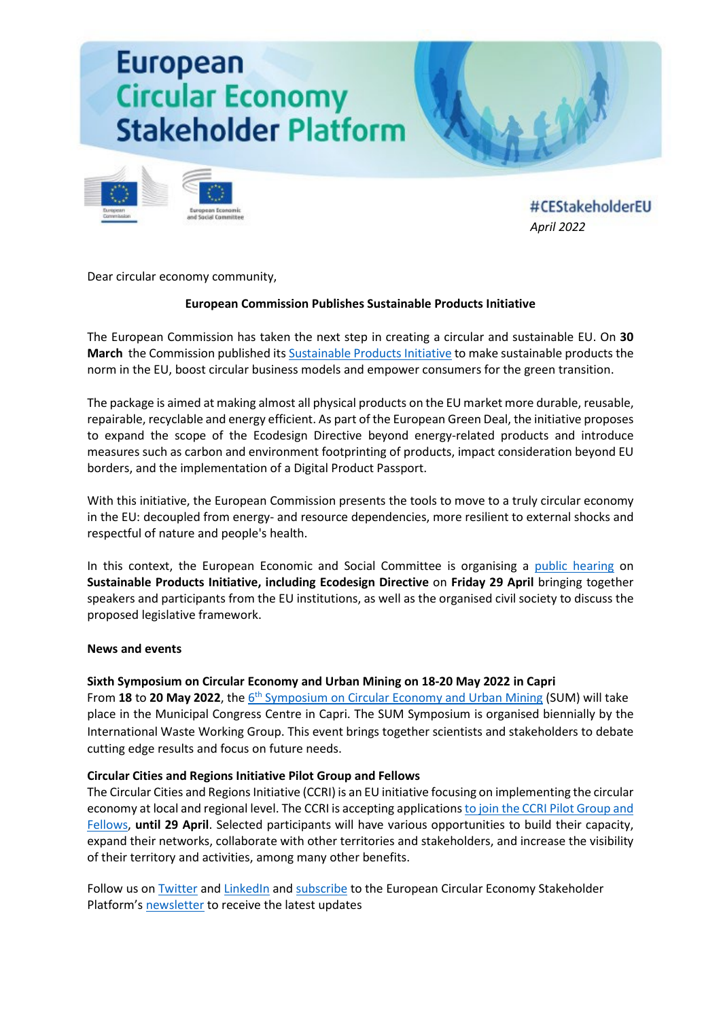# **European Circular Economy Stakeholder Platform**



#CEStakeholderEU *April [2022](https://circulareconomy.europa.eu/platform/en/about-platform)*

Dear circular economy community,

## **European Commission Publishes Sustainable Products Initiative**

The European Commission has taken the next step in creating a circular and sustainable EU. On **30 March** the Commission published its [Sustainable Products Initiative](https://circulareconomy.europa.eu/platform/en/news-and-events/all-news/green-deal-new-eu-proposals-make-sustainable-products-norm-and-boost-europes-resource-independence) to make sustainable products the norm in the EU, boost circular business models and empower consumers for the green transition.

The package is aimed at making almost all physical products on the EU market more durable, reusable, repairable, recyclable and energy efficient. As part of the European Green Deal, the initiative proposes to expand the scope of the Ecodesign Directive beyond energy-related products and introduce measures such as carbon and environment footprinting of products, impact consideration beyond EU borders, and the implementation of a Digital Product Passport.

With this initiative, the European Commission presents the tools to move to a truly circular economy in the EU: decoupled from energy- and resource dependencies, more resilient to external shocks and respectful of nature and people's health.

In this context, the European Economic and Social Committee is organising a [public hearing](https://circulareconomy.europa.eu/platform/en/news-and-events/all-events/public-hearing-sustainable-products-initiative-including-ecodesign-directive) on **Sustainable Products Initiative, including Ecodesign Directive** on **Friday 29 April** bringing together speakers and participants from the EU institutions, as well as the organised civil society to discuss the proposed legislative framework.

## **News and events**

## **Sixth Symposium on Circular Economy and Urban Mining on 18-20 May 2022 in Capri**

From 18 to 20 May 2022, the 6<sup>th</sup> [Symposium on Circular Economy and Urban Mining](https://circulareconomy.europa.eu/platform/en/news-and-events/all-events/sum-2022-6th-symposium-circular-economy-and-urban-mining) (SUM) will take place in the Municipal Congress Centre in Capri. The SUM Symposium is organised biennially by the International Waste Working Group. This event brings together scientists and stakeholders to debate cutting edge results and focus on future needs.

## **Circular Cities and Regions Initiative Pilot Group and Fellows**

The Circular Cities and Regions Initiative (CCRI) is an EU initiative focusing on implementing the circular economy at local and regional level. The CCRI is accepting applications [to join the CCRI Pilot Group and](https://circulareconomy.europa.eu/platform/en/news-and-events/all-news/ccri-pilot-group-and-fellows-apply-lead-europes-circular-economy-transition)  [Fellows,](https://circulareconomy.europa.eu/platform/en/news-and-events/all-news/ccri-pilot-group-and-fellows-apply-lead-europes-circular-economy-transition) **until 29 April**. Selected participants will have various opportunities to build their capacity, expand their networks, collaborate with other territories and stakeholders, and increase the visibility of their territory and activities, among many other benefits.

Follow us o[n Twitter](https://twitter.com/CEStakeholderEU) and [LinkedIn](https://www.linkedin.com/company/ecesp/) an[d subscribe](http://cdweb.eesc.europa.eu/eesceuropaeu-ae77k/pages/piih728reeibewbqvqbd6g.html) to the European Circular Economy Stakeholder Platform'[s newsletter](https://circulareconomy.europa.eu/platform/en/ecesp-newsletter) to receive the latest updates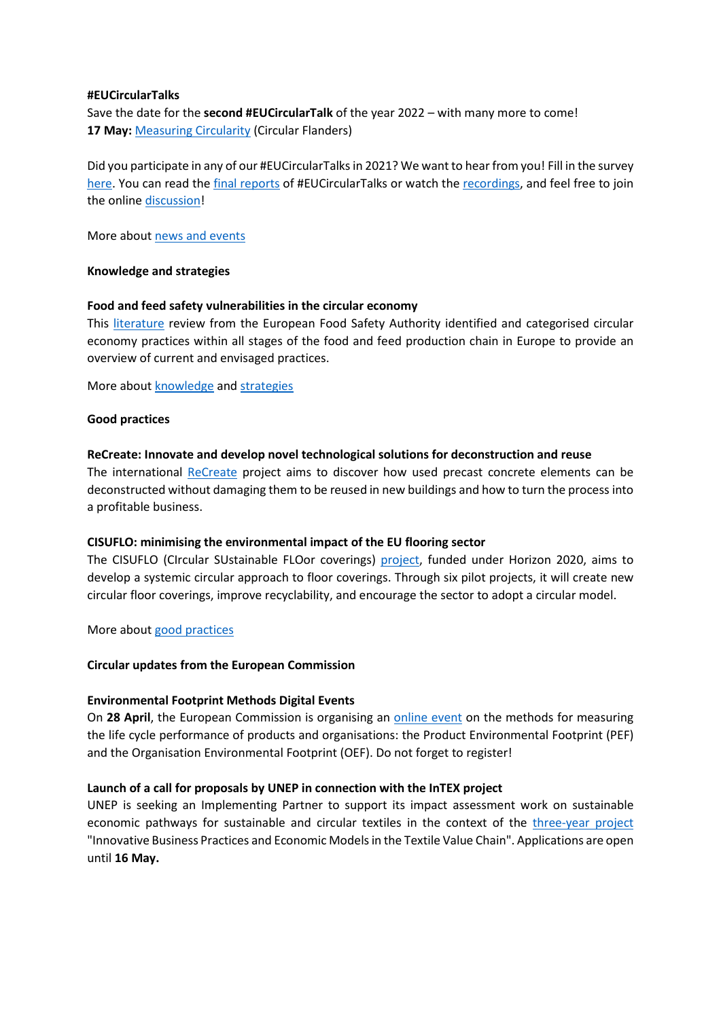### **#EUCircularTalks**

Save the date for the **second #EUCircularTalk** of the year 2022 – with many more to come! 17 May: [Measuring Circularity](https://circulareconomy.europa.eu/platform/en/news-and-events/all-events/eucirculartalk-measuring-circularity) (Circular Flanders)

Did you participate in any of our #EUCircularTalksin 2021? We want to hear from you! Fill in the survey [here.](https://ec.europa.eu/eusurvey/runner/evaluation-eucirculartalks) You can read the [final reports](https://circulareconomy.europa.eu/platform/en/eu-circular-talks) of #EUCircularTalks or watch the [recordings,](https://www.youtube.com/channel/UC7c7LwM1A4FZ8XauZEqQRlA) and feel free to join the online [discussion!](https://www.linkedin.com/search/results/groups/?keywords=%23eucirculartalks&origin=SWITCH_SEARCH_VERTICAL)

More about [news and events](https://circulareconomy.europa.eu/platform/en/news-and-events)

## **Knowledge and strategies**

## **Food and feed safety vulnerabilities in the circular economy**

This [literature](https://circulareconomy.europa.eu/platform/en/knowledge/food-and-feed-safety-vulnerabilities-circular-economy) review from the European Food Safety Authority identified and categorised circular economy practices within all stages of the food and feed production chain in Europe to provide an overview of current and envisaged practices.

More about [knowledge](https://circulareconomy.europa.eu/platform/en/knowledge) and [strategies](https://circulareconomy.europa.eu/platform/en/strategies)

#### **Good practices**

## **ReCreate: Innovate and develop novel technological solutions for deconstruction and reuse**

The international [ReCreate](https://circulareconomy.europa.eu/platform/en/good-practices/recreate-innovate-and-develop-novel-technological-solutions-deconstruction-and-reuse) project aims to discover how used precast concrete elements can be deconstructed without damaging them to be reused in new buildings and how to turn the process into a profitable business.

## **CISUFLO: minimising the environmental impact of the EU flooring sector**

The CISUFLO (CIrcular SUstainable FLOor coverings) [project,](https://circulareconomy.europa.eu/platform/en/good-practices/cisuflo-minimising-environmental-impact-eu-flooring-sector) funded under Horizon 2020, aims to develop a systemic circular approach to floor coverings. Through six pilot projects, it will create new circular floor coverings, improve recyclability, and encourage the sector to adopt a circular model.

More about [good practices](https://circulareconomy.europa.eu/platform/en/good-practices)

## **Circular updates from the European Commission**

## **Environmental Footprint Methods Digital Events**

On **28 April**, the European Commission is organising an [online event](https://circulareconomy.europa.eu/platform/en/news-and-events/all-events/environmental-footprint-methods-digital-event) on the methods for measuring the life cycle performance of products and organisations: the Product Environmental Footprint (PEF) and the Organisation Environmental Footprint (OEF). Do not forget to register!

## **Launch of a call for proposals by UNEP in connection with the InTEX project**

UNEP is seeking an Implementing Partner to support its impact assessment work on sustainable economic pathways for sustainable and circular textiles in the context of the [three-year project](https://circulareconomy.europa.eu/platform/en/news-and-events/all-news/launch-call-proposals-unep-connection-intex-project) "Innovative Business Practices and Economic Models in the Textile Value Chain". Applications are open until **16 May.**